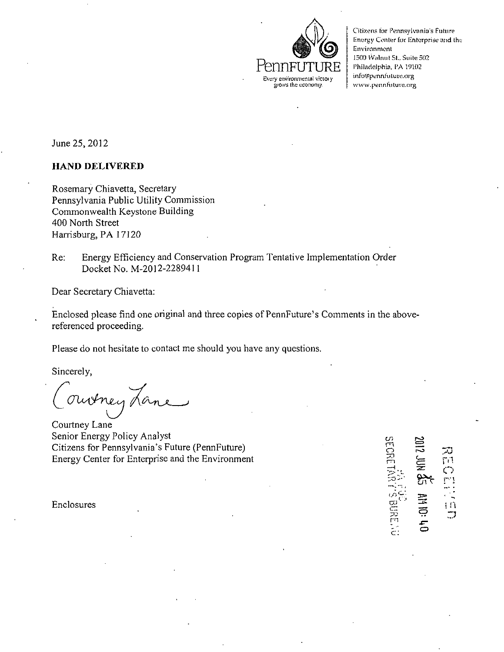

Citizens for Pennsylvania's Future Energy Center for Enterprise and the Environment 1500 IVnlnut St., Suite 502 Philadelphia, PA 19102 info@pennfuture.org www.pennhiture.org

June 25, 2012

## **HAND DELIVERED**

Rosemary Chiavetta, Secretary Pennsylvania Public Utility Commission Commonwealth Keystone Building 400 North Street Harrisburg, PA 17120

Re: Energy Efficiency and Conservation Program Tentative Implementation Order Docket No. M-2012-2289411

Dear Secretary Chiavetta:

Enclosed please find one original and three copies of PennFuture's Comments in the abovereferenced proceeding.

Please do not hesitate to contact me should you have any questions.

Sincerely,

ouverey La

Courtney Lane Senior Energy Policy Analyst Citizens for Pennsylvania's Future (PennFuture) Energy Center for Enterprise and the Environment

m .<br>م .<br>ب  $\widetilde{\blacksquare}$  $\mathbb{R}$  $\mathbf{i}$ č  $\ddot{\Xi}$  $\Box$ *XT*  c: ب<br>أ

w.

Enclosures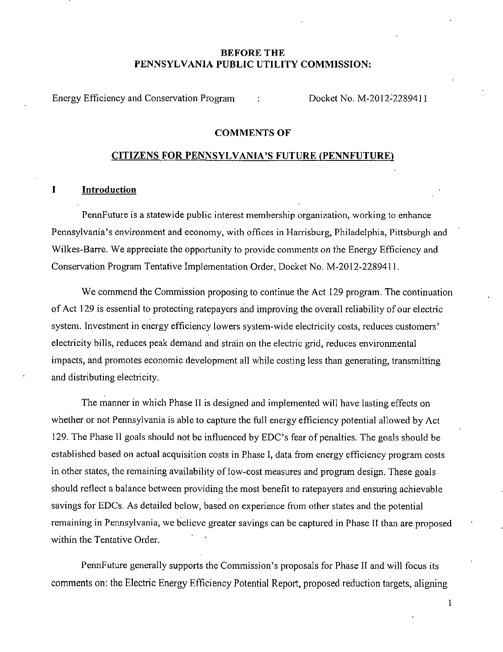# **BEFORE THE PENNSYLVANIA PUBLIC UTILITY COMMISSION:**

**Energy Efficiency and Conservation Program : Docket No. M-2012-2289411** 

## **COMMENTS OF**

## **CITIZENS FOR PENNSYLVANIA'S FUTURE (PENNFUTURE)**

#### **I Introduction**

PennFuture is a statewide public interest membership organization, working to enhance Pennsylvania's environment and economy, with offices in Harrisburg, Philadelphia, Pittsburgh and Wilkes-Barre. We appreciate the opportunity to provide comments on the Energy Efficiency and Conservation Program Tentative Implementation Order, Docket No. M-2012-2289411.

We commend the Commission proposing to continue the Act 129 program. The continuation of Act 129 is essential to protecting ratepayers and improving the overall reliability of our electric system. Investment in energy efficiency lowers system-wide electricity costs, reduces customers' electricity bills, reduces peak demand and strain on the electric grid, reduces environmental impacts, and promotes economic development all while costing less than generating, transmitting and distributing electricity.

The manner in which Phase II is designed and implemented will have lasting effects on whether or not Pennsylvania is able to capture the full energy efficiency potential allowed by Act 129. The Phase II goals should not be influenced by EDC's fear of penalties. The goals should be established based on actual acquisition costs in Phase I, data from energy efficiency program costs in other states, the remaining availability of low-cost measures and program design. These goals should reflect a balance between providing the most benefit to ratepayers and ensuring achievable savings for EDCs. As detailed below, based on experience from other states and the potential remaining in Pennsylvania, we believe greater savings can be captured in Phase II than are proposed within the Tentative Order.

PennFuture generally supports the Commission's proposals for Phase II and will focus its comments on: the Electric Energy Efficiency Potential Report, proposed reduction targets, aligning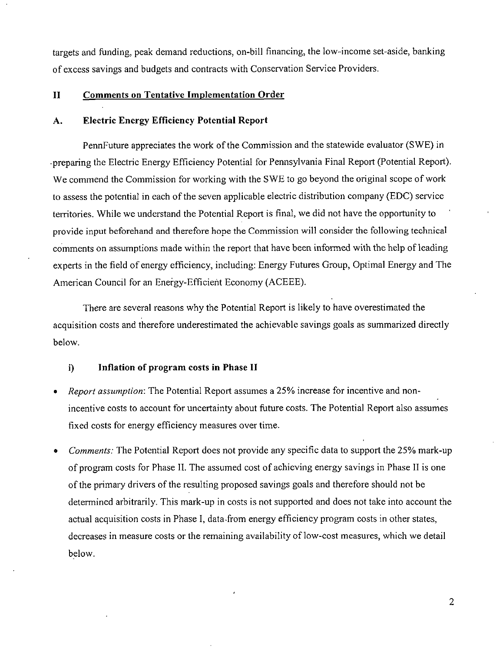targets and funding, peak demand reductions, on-bill financing, the low-income set-aside, banking of excess savings and budgets and contracts with Conservation Service Providers.

# **II Comments on Tentative Implementation Order**

## **A. Electric Energy Efficiency Potential Report**

PennFuture appreciates the work of the Commission and the statewide evaluator (SWE) in -preparing the Electric Energy Efficiency Potential for Pennsylvania Final Report (Potential Report). We commend the Commission for working with the SWE to go beyond the original scope of work to assess the potential in each of the seven applicable electric distribution company (EDC) service territories. While we understand the Potential Report is final, we did not have the opportunity to provide input beforehand and therefore hope the Commission will consider the following technical comments on assumptions made within the report that have been informed with the help of leading experts in the field of energy efficiency, including: Energy Futures Group, Optimal Energy and The American Council for an Energy-Efficient Economy (ACEEE).

There are several reasons why the Potential Report is likely to have overestimated the acquisition costs and therefore underestimated the achievable savings goals as summarized directly below.

## **i) Inflation of program costs in Phase H**

- Report assumption: The Potential Report assumes a 25% increase for incentive and nonincentive costs to account for uncertainty about future costs. The Potential Report also assumes fixed costs for energy efficiency measures over time.
- Comments: The Potential Report does not provide any specific data to support the 25% mark-up of program costs for Phase II. The assumed cost of achieving energy savings in Phase II is one of the primary drivers of the resulting proposed savings goals and therefore should not be determined arbitrarily. This mark-up in costs is not supported and does not take into account the actual acquisition costs in Phase I, data-from energy efficiency program costs in other states, decreases in measure costs or the remaining availability of low-cost measures, which we detail below.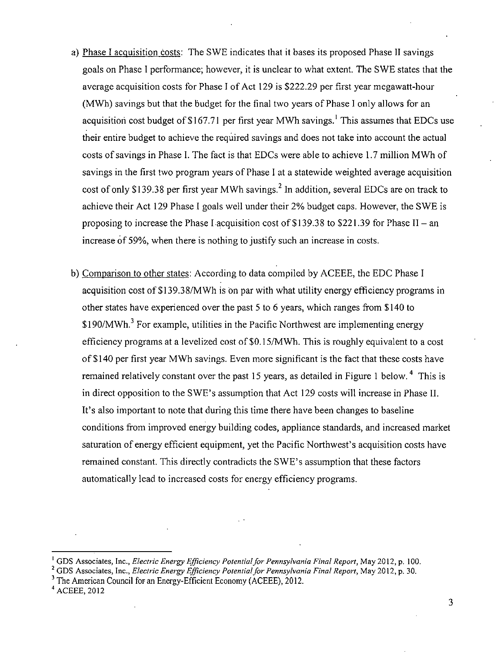- a) Phase I acquisition costs: The SWE indicates that it bases its proposed Phase II savings goals on Phase I performance; however, it is unclear to what extent. The SWE states that the average acquisition costs for Phase I of Act 129 is \$222.29 per first year megawatt-hour (MWh) savings but that the budget for the final two years of Phase I only allows for an acquisition cost budget of \$167.71 per first year MWh savings.<sup>1</sup> This assumes that EDCs use their entire budget to achieve the required savings and does not take into account the actual costs of savings in Phase I. The fact is that EDCs were able to achieve 1.7 million MWh of savings in the first two program years of Phase I at a statewide weighted average acquisition cost of only \$139.38 per first year MWh savings.<sup>2</sup> In addition, several EDCs are on track to achieve their Act 129 Phase I goals well under their 2% budget caps. However, the SWE is proposing to increase the Phase I acquisition cost of \$139.38 to \$221.39 for Phase II - an increase of 59%, when there is nothing to justify such an increase in costs.
- b) Comparison to other states: According to data compiled by ACEEE, the EDC Phase I acquisition cost of \$139.38/MWh is on par with what utility energy efficiency programs in other states have experienced over the past 5 to 6 years, which ranges from \$140 to \$190/MWh.<sup>3</sup> For example, utilities in the Pacific Northwest are implementing energy efficiency programs at a levelized cost of \$0.15/MWh. This is roughly equivalent to a cost of \$140 per first year MWh savings. Even more significant is the fact that these costs have remained relatively constant over the past 15 years, as detailed in Figure 1 below.<sup>4</sup> This is in direct opposition to the SWE's assumption that Act 129 costs will increase in Phase II. It's also important to note that during this time there have been changes to baseline conditions from improved energy building codes, appliance standards, and increased market saturation of energy efficient equipment, yet the Pacific Northwest's acquisition costs have remained constant. This directly contradicts the SWE's assumption that these factors automatically lead to increased costs for energy efficiency programs.

 $\overline{3}$ 

<sup>&</sup>lt;sup>1</sup> GDS Associates, Inc., Electric Energy Efficiency Potential for Pennsylvania Final Report, May 2012, p. 100.

<sup>&</sup>lt;sup>2</sup> GDS Associates, Inc., *Electric Energy Efficiency Potential for Pennsylvania Final Report*, May 2012, p. 30.

<sup>3</sup> The American Council for an Energy-Efficient Economy (ACEEE), 2012.

<sup>4</sup> ACEEE, 2012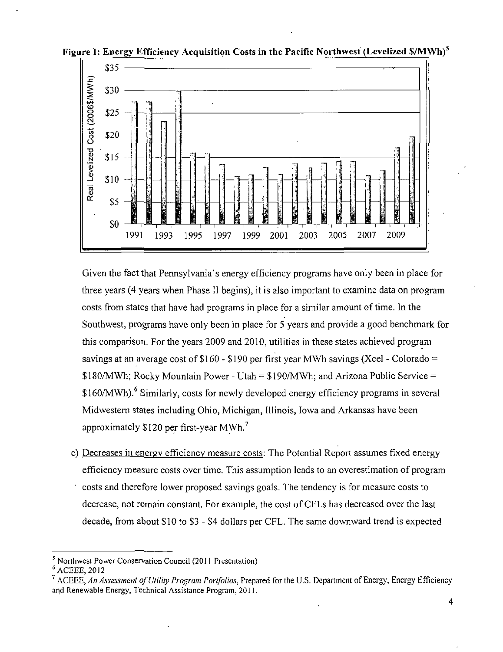

**Figure I: Energy Efficiency Acquisition Costs in the Pacific Northwest (Levelized \$/MWh)<sup>f</sup>**

Given the fact that Pennsylvania's energy efficiency programs have only been in place for three years (4 years when Phase II begins), it is also important to examine data on program costs from states that have had programs in place for a similar amount of time. In the Southwest, programs have only been in place for 5 years and provide a good benchmark for this comparison. For the years 2009 and 2010, utilities in these states achieved program savings at an average cost of  $$160 - $190$  per first year MWh savings (Xcel - Colorado =  $$180/MWh$ ; Rocky Mountain Power - Utah =  $$190/MWh$ ; and Arizona Public Service = \$160/MWh). <sup>6</sup> Similarly, costs for newly developed energy efficiency programs in several Midwestern states including Ohio, Michigan, Illinois, Iowa and Arkansas have been approximately \$120 per first-year MWh. <sup>7</sup>

c) Decreases in energy efficiency measure costs: The Potential Report assumes fixed energy efficiency measure costs over time. This assumption leads to an overestimation of program ' costs and therefore lower proposed savings goals. The tendency is for measure costs to decrease, not remain constant. For example, the cost of CFLs has decreased over the last decade, from about \$10 to \$3 - \$4 dollars per CFL. The same downward trend is expected

<sup>&</sup>lt;sup>5</sup> Northwest Power Conservation Council (2011 Presentation)

 $^6$  ACEEE, 2012

<sup>&</sup>lt;sup>7</sup> ACEEE, An Assessment of Utility Program Portfolios, Prepared for the U.S. Department of Energy, Energy Efficiency and Renewable Energy, Technical Assistance Program, 2011.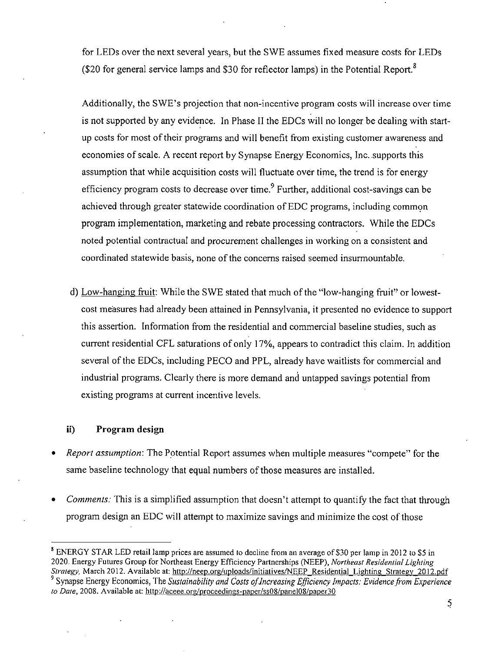for LEDs over the next several years, but the SWE assumes fixed measure costs for LEDs (\$20 for general service lamps and \$30 for reflector lamps) in the Potential Report.<sup>8</sup>

Additionally, the SWE's projection that non-incentive program costs will increase over time is not supported by any evidence. In Phase II the EDCs will no longer be dealing with startup costs for most of their programs and will benefit from existing customer awareness and economies of scale. A recent report by Synapse Energy Economics, Inc. supports this assumption that while acquisition costs will fluctuate over time, the trend is for energy efficiency program costs to decrease over time.<sup>9</sup> Further, additional cost-savings can be achieved through greater statewide coordination of EDC programs, including common program implementation, marketing and rebate processing contractors. While the EDCs noted potential contractual and procurement challenges in working on a consistent and coordinated statewide basis, none of the concerns raised seemed insurmountable.

d) Low-hanging fruit: While the SWE stated that much of the "low-hanging fruit" or lowestcost measures had already been attained in Pennsylvania, it presented no evidence to support this assertion. Information from the residential and commercial baseline studies, such as current residential CFL saturations of only 17%, appears to contradict this claim. In addition several of the EDCs, including PECO and PPL, already have waitlists for commercial and industrial programs. Clearly there is more demand and untapped savings potential from existing programs at current incentive levels.

## **ii) Program design**

- Report assumption'. The Potential Report assumes when multiple measures "compete" for the same baseline technology that equal numbers of those measures are installed.
- Comments: This is a simplified assumption that doesn't attempt to quantify the fact that through program design an EDC will attempt to maximize savings and minimize the cost of those

<sup>&</sup>lt;sup>8</sup> ENERGY STAR LED retail lamp prices are assumed to decline from an average of \$30 per lamp in 2012 to \$5 in 2020. Energy Futures Group for Northeast Energy Efficiency Partnerships (NEEP), Northeast Residential Lighting Strategy, March 2012. Available at: http://neep.org/uploads/initiatives/NEEP\_Residential Lighting Strategy 2012.pdf <sup>9</sup> Synapse Energy Economics, The Sustainability and Costs of Increasing Efficiency Impacts: Evidence from Experience to Date, 2008. Available at: http://aceee.org/proceedings-paper/ss08/panel08/paper30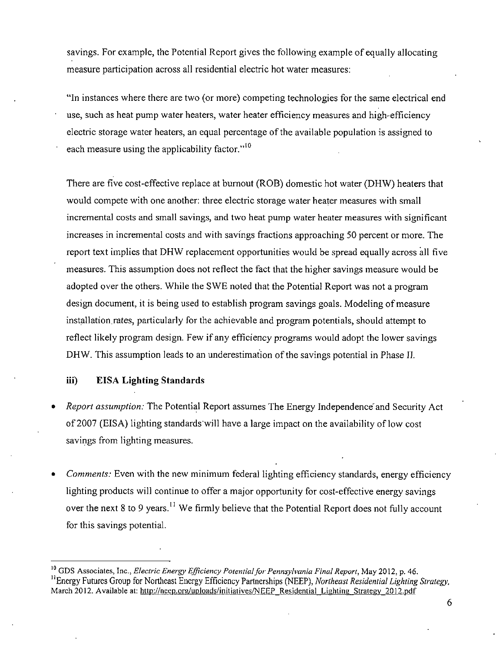savings. For example, the Potential Report gives the following example of equally allocating measure participation across all residential electric hot water measures:

"In instances where there are two (or more) competing technologies for the same electrical end use, such as heat pump water heaters, water heater efficiency measures and high-efficiency electric storage water heaters, an equal percentage of the available population is assigned to each measure using the applicability factor."<sup>10</sup>

There are five cost-effective replace at burnout (ROB) domestic hot water (DHW) heaters that would compete with one another: three electric storage water heater measures with small incremental costs and small savings, and two heat pump water heater measures with significant increases in incremental costs and with savings fractions approaching 50 percent or more. The report text implies that DHW replacement opportunities would be spread equally across all five measures. This assumption does not reflect the fact that the higher savings measure would be adopted over the others. While the SWE noted that the Potential Report was not a program design document, it is being used to establish program savings goals. Modeling of measure installation rates, particularly for the achievable and program potentials, should attempt to reflect likely program design. Few if any efficiency programs would adopt the lower savings DHW. This assumption leads to an underestimation of the savings potential in Phase IJ.

# **iii) EISA Lighting Standards**

- Report assumption: The Potential Report assumes The Energy Independence'and Security Act of 2007 (EISA) lighting standards will have a large impact on the availability of low cost savings from lighting measures.
- Comments: Even with the new minimum federal lighting efficiency standards, energy efficiency lighting products will continue to offer a major opportunity for cost-effective energy savings over the next 8 to 9 years.<sup>11</sup> We firmly believe that the Potential Report does not fully account for this savings potential.

<sup>&</sup>lt;sup>10</sup> GDS Associates, Inc., *Electric Energy Efficiency Potential for Pennsylvania Final Report*, May 2012, p. 46. <sup>11</sup> Energy Futures Group for Northeast Energy Efficiency Partnerships (NEEP), Northeast Residential Lighting Strategy, March 2012. Available at: http://neep.org/uploads/initiatives/NEEP\_Residential\_Lighting\_Strategy\_2012.pdf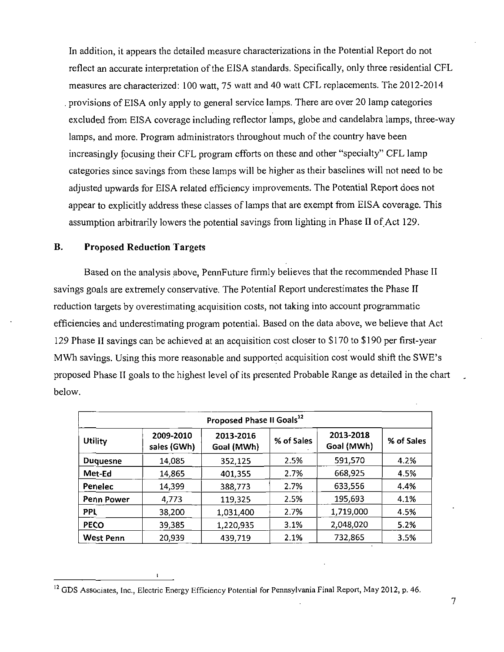In addition, it appears the detailed measure characterizations in the Potential Report do not reflect an accurate interpretation of the EISA standards. Specifically, only three residential CFL measures are characterized: 100 watt, 75 watt and 40 watt CFL replacements. The 2012-2014 . provisions of EISA only apply to general service lamps. There are over 20 lamp categories excluded from EISA coverage including reflector lamps, globe and candelabra lamps, three-way lamps, and more. Program administrators throughout much of the country have been increasingly focusing their CFL program efforts on these and other "specialty" CFL lamp categories since savings from these lamps will be higher as their baselines will not need to be adjusted upwards for EISA related efficiency improvements. The Potential Report does not appear to explicitly address these classes of lamps that are exempt from EISA coverage. This assumption arbitrarily lowers the potential savings from lighting in Phase II of Act 129.

## **B. Proposed Reduction Targets**

Based on the analysis above, PennFuture firmly believes that the recommended Phase II savings goals are extremely conservative. The Potential Report underestimates the Phase II reduction targets by overestimating acquisition costs, not taking into account programmatic efficiencies and underestimating program potential. Based on the data above, we believe that Act 129 Phase II savings can be achieved at an acquisition cost closer to \$ 170 to \$ 190 per first-year MWh savings. Using this more reasonable and supported acquisition cost would shift the SWE's proposed Phase II goals to the highest level of its presented Probable Range as detailed in the chart below.

| Proposed Phase II Goals <sup>12</sup> |                          |                         |            |                         |            |
|---------------------------------------|--------------------------|-------------------------|------------|-------------------------|------------|
| Utility                               | 2009-2010<br>sales (GWh) | 2013-2016<br>Goal (MWh) | % of Sales | 2013-2018<br>Goal (MWh) | % of Sales |
| <b>Duquesne</b>                       | 14,085                   | 352,125                 | 2.5%       | 591,570                 | 4.2%       |
| Met-Ed                                | 14,865                   | 401,355                 | 2.7%       | 668,925                 | 4.5%       |
| Penelec                               | 14,399                   | 388,773                 | 2.7%       | 633,556                 | 4.4%       |
| Penn Power                            | 4,773                    | 119,325                 | 2.5%       | 195,693                 | 4.1%       |
| PPL                                   | 38,200                   | 1,031,400               | 2.7%       | 1,719,000               | 4.5%       |
| <b>PECO</b>                           | 39,385                   | 1,220,935               | 3.1%       | 2,048,020               | 5.2%       |
| <b>West Penn</b>                      | 20,939                   | 439,719                 | 2.1%       | 732,865                 | 3.5%       |

 $\mathbf{I}$ 

<sup>&</sup>lt;sup>12</sup> GDS Associates, Inc., Electric Energy Efficiency Potential for Pennsylvania Final Report, May 2012, p. 46.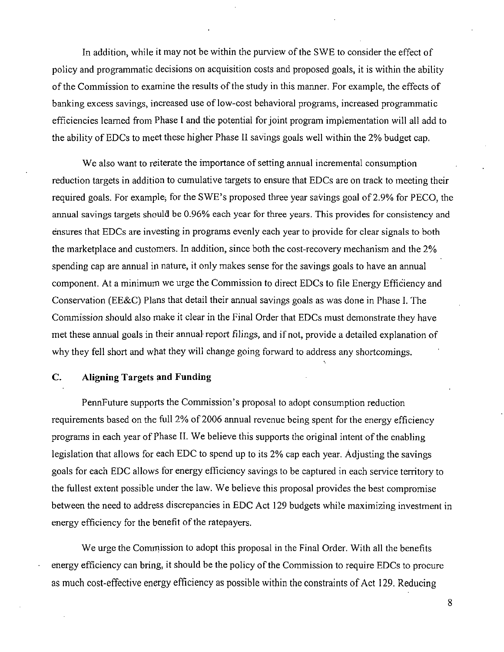In addition, while it may not be within the purview of the SWE to consider the effect of policy and programmatic decisions on acquisition costs and proposed goals, it is within the ability of the Commission to examine the results of the study in this manner. For example, the effects of banking excess savings, increased use of low-cost behavioral programs, increased programmatic efficiencies learned from Phase I and the potential for joint program implementation will all add to the ability of EDCs to meet these higher Phase II savings goals well within the 2% budget cap.

We also want to reiterate the importance of setting annual incremental consumption reduction targets in addition to cumulative targets to ensure that EDCs are on track to meeting their required goals. For example, for the SWE's proposed three year savings goal of 2.9% for PECO, the annual savings targets should be 0.96% each year for three years. This provides for consistency and ensures that EDCs are investing in programs evenly each year to provide for clear signals to both the marketplace and customers. In addition, since both the cost-recovery mechanism and the 2% spending cap are annual in nature, it only makes sense for the savings goals to have an annual component. At a minimum we urge the Commission to direct EDCs to file Energy Efficiency and Conservation (EE&C) Plans that detail their annual savings goals as was done in Phase I. The Commission should also make it clear in the Final Order that EDCs must demonstrate they have met these annual goals in their annual-report filings, and if not, provide a detailed explanation of why they fell short and what they will change going forward to address any shortcomings.

## **C. Aligning Targets and Funding**

PennFuture supports the Commission's proposal to adopt consumption reduction requirements based on the full 2% of 2006 annual revenue being spent for the energy efficiency programs in each year of Phase II. We believe this supports the original intent of the enabling legislation that allows for each EDC to spend up to its 2% cap each year. Adjusting the savings goals for each EDC allows for energy efficiency savings to be captured in each service territory to the fullest extent possible under the law. We believe this proposal provides the best compromise between the need to address discrepancies in EDC Act 129 budgets while maximizing investment in energy efficiency for the benefit of the ratepayers.

We urge the Comrnission to adopt this proposal in the Final Order. With all the benefits energy efficiency can bring, it should be the policy of the Commission to require EDCs to procure as much cost-effective energy efficiency as possible within the constraints of Act 129. Reducing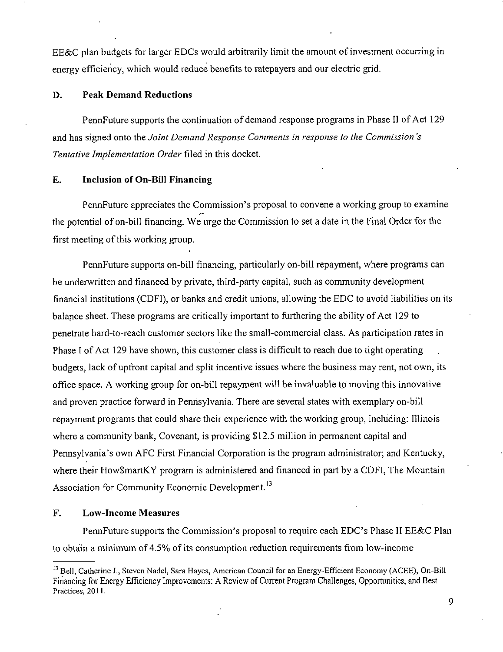EE&C plan budgets for larger EDCs would arbitrarily limit the amount of investment occurring in energy efficiency, which would reduce benefits to ratepayers and our electric grid.

# **D. Peak Demand Reductions**

PennFuture supports the continuation of demand response programs in Phase 11 of Act 129 and has signed onto the Joint Demand Response Comments in response to the Commission's Tentative Implementation Order filed in this docket.

## **£. Inclusion of On-Bill Financing**

PennFuture appreciates the Commission's proposal to convene a working group to examine the potential of on-bill financing. We urge the Commission to set a date in the Final Order for the first meeting of this working group.

PennFuture supports on-bill financing, particularly on-bill repayment, where programs can be underwritten and financed by private, third-party capital, such as community development financial institutions (CDFI), or banks and credit unions, allowing the EDC to avoid liabilities on its balance sheet. These programs are critically important to furthering the ability of Act 129 to penetrate hard-to-reach customer sectors like the small-commercial class. As participation rates in Phase I of Act 129 have shown, this customer class is difficult to reach due to tight operating budgets, lack of upfront capital and split incentive issues where the business may rent, not own, its office space. A working group for on-bill repayment will be invaluable to moving this innovative and proven practice forward in Pennsylvania. There are several states with exemplary on-bill repayment programs that could share their experience with the working group, including: Illinois where a community bank, Covenant, is providing \$12.5 million in permanent capital and Pennsylvania's own AFC First Financial Corporation is the program administrator; and Kentucky, where their How\$martKY program is administered and financed in part by a CDFI, The Mountain Association for Community Economic Development.<sup>13</sup>

# **F. Low-Income Measures**

PennFuture supports the Commission's proposal to require each EDC's Phase II EE&C Plan to obtain a minimum of 4.5% of its consumption reduction requirements from low-income

<sup>&</sup>lt;sup>13</sup> Bell, Catherine J., Steven Nadel, Sara Hayes, American Council for an Energy-Efficient Economy (ACEE), On-Bill Financing for Energy Efficiency Improvements: A Review of Current Program Challenges, Opportunities, and Best Practices, 2011.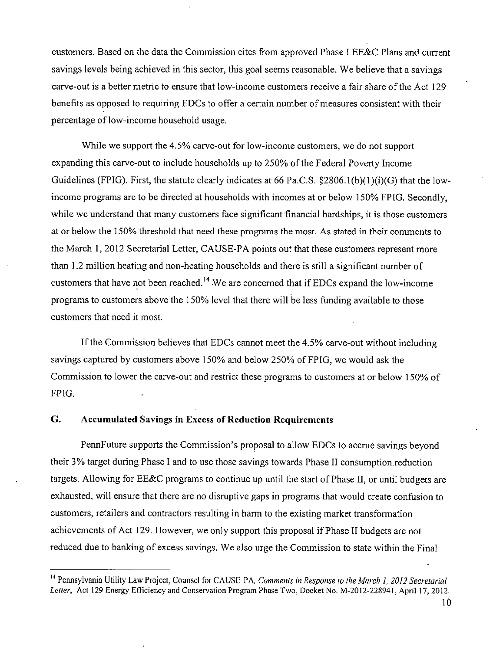customers. Based on the data the Commission cites from approved Phase I EE&C Plans and current savings levels being achieved in this sector, this goal seems reasonable. We believe that a savings carve-out is a better metric to ensure that low-income customers receive a fair share of the Act 129 benefits as opposed to requiring EDCs to offer a certain number of measures consistent with their percentage of low-income household usage.

While we support the 4.5% carve-out for low-income customers, we do not support expanding this carve-out to include households up to 250% of the Federal Poverty Income Guidelines (FPIG). First, the statute clearly indicates at 66 Pa.C.S. §2806.1(b)(1)(i)(G) that the lowincome programs are to be directed at households with incomes at or below 150% FPIG. Secondly, while we understand that many customers face significant financial hardships, it is those customers at or below the 150% threshold that need these programs the most. As stated in their comments to the March 1, 2012 Secretarial Letter, CAUSE-PA points out that these customers represent more than 1.2 million heating and non-heating households and there is still a significant number of customers that have not been reached.<sup>14</sup> We are concerned that if EDCs expand the low-income programs to customers above the 150% level that there will be less funding available to those customers that need it most.

If the Commission believes that EDCs cannot meet the 4.5% carve-out without including savings captured by customers above 150% and below 250% of FPIG, we would ask the Commission to lower the carve-out and restrict these programs to customers at or below 150% of FPIG.

# **G. Accumulated Savings in Excess of Reduction Requirements**

PennFuture supports the Commission's proposal to allow EDCs to accrue savings beyond their 3% target during Phase I and to use those savings towards Phase II consumption.reduction targets. Allowing for EE&C programs to continue up until the start of Phase II, or until budgets are exhausted, will ensure that there are no disruptive gaps in programs that would create confusion to customers, retailers and contractors resulting in harm to the existing market transformation achievements of Act 129. However, we only support this proposal if Phase II budgets are not reduced due to banking of excess savings. We also urge the Commission to state within the Final

<sup>&</sup>lt;sup>14</sup> Pennsylvania Utility Law Project, Counsel for CAUSE-PA, Comments in Response to the March 1, 2012 Secretarial Letter, Act 129 Energy Efficiency and Conservation Program Phase Two, Docket No. M-2012-228941, April 17,2012.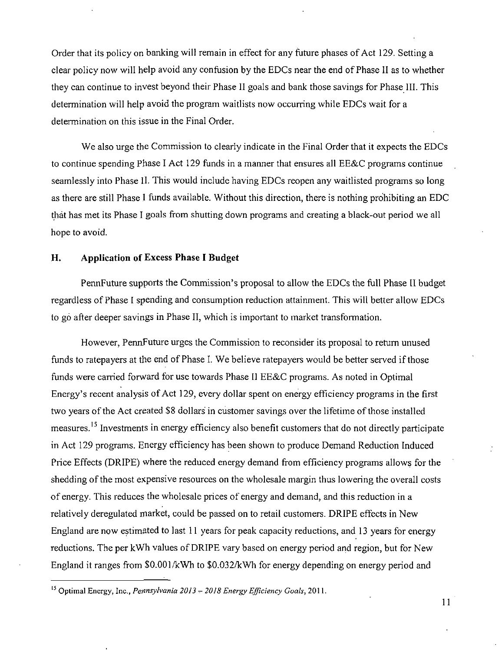Order that its policy on banking will remain in effect for any future phases of Act 129. Setting a clear policy now will help avoid any confusion by the EDCs near the end of Phase II as to whether they can continue to invest beyond their Phase II goals and bank those savings for Phase III. This determination will help avoid the program waitlists now occurring while EDCs wait for a determination on this issue in the Final Order.

We also urge the Commission to clearly indicate in the Final Order that it expects the EDCs to continue spending Phase I Act 129 funds in a manner that ensures all EE&C programs continue seamlessly into Phase II. This would include having EDCs reopen any waitlisted programs so long as there are still Phase I funds available. Without this direction, there is nothing prohibiting an EDC that has met its Phase I goals from shutting down programs and creating a black-out period we all hope to avoid.

## **H. Application of Excess Phase I Budget**

PennFuture supports the Commission's proposal to allow the EDCs the full Phase II budget regardless of Phase I spending and consumption reduction attainment. This will better allow EDCs to go after deeper savings in Phase II, which is important to market transformation.

However, PennFuture urges the Commission to reconsider its proposal to return unused funds to ratepayers at the end of Phase I. We believe ratepayers would be better served if those funds were carried forward for use towards Phase II EE&C programs. As noted in Optimal Energy's recent analysis of Act 129, every dollar spent on energy efficiency programs in the first two years of the Act created \$8 dollars' in customer savings over the lifetime of those installed measures.<sup>15</sup> Investments in energy efficiency also benefit customers that do not directly participate in Act 129 programs. Energy efficiency has been shown to produce Demand Reduction Induced Price Effects (DRIPE) where the reduced energy demand from efficiency programs allows for the shedding of the most expensive resources on the wholesale margin thus lowering the overall costs of energy. This reduces the wholesale prices of energy and demand, and this reduction in a relatively deregulated market, could be passed on to retail customers. DRIPE effects in New England are now estimated to last 11 years for peak capacity reductions, and 13 years for energy reductions. The per kWh values of DRIPE vary based on energy period and region, but for New England it ranges from \$0.001/kWh to \$0.032/kWh for energy depending on energy period and

<sup>&</sup>lt;sup>15</sup> Optimal Energy, Inc., *Pennsylvania 2013*  $-$  2018 Energy Efficiency Goals, 2011.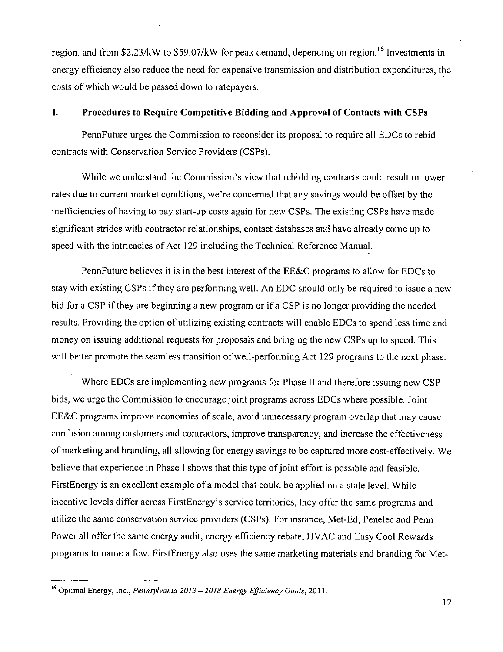region, and from \$2.23/kW to \$59.07/kW for peak demand, depending on region.<sup>16</sup> Investments in energy efficiency also reduce the need for expensive transmission and distribution expenditures, the costs of which would be passed down to ratepayers.

# **I. Procedures to Require Competitive Bidding and Approval of Contacts with CSPs**

PennFuture urges the Commission to reconsider its proposal to require all EDCs to rebid contracts with Conservation Service Providers (CSPs).

While we understand the Commission's view that rebidding contracts could result in lower rates due to current market conditions, we're concerned that any savings would be offset by the inefficiencies of having to pay start-up costs again for new CSPs. The existing CSPs have made significant strides with contractor relationships, contact databases and have already come up to speed with the intricacies of Act 129 including the Technical Reference Manual.

PennFuture believes it is in the best interest of the EE&C programs to allow for EDCs to stay with existing CSPs if they are performing well. An EDC should only be required to issue a new bid for a CSP if they are beginning a new program or if a CSP is no longer providing the needed results. Providing the option of utilizing existing contracts will enable EDCs to spend less time and money on issuing additional requests for proposals and bringing the new CSPs up to speed. This will better promote the seamless transition of well-performing Act 129 programs to the next phase.

Where EDCs are implementing new programs for Phase II and therefore issuing new CSP bids, we urge the Commission to encourage joint programs across EDCs where possible. Joint EE&C programs improve economies of scale, avoid unnecessary program overlap that may cause confusion among customers and contractors, improve transparency, and increase the effectiveness of marketing and branding, all allowing for energy savings to be captured more cost-effectively. We believe that experience in Phase I shows that this type of joint effort is possible and feasible. FirstEnergy is an excellent example of a model that could be applied on a state level. While incentive levels differ across FirstEnergy's service territories, they offer the same programs and utilize the same conservation service providers (CSPs). For instance, Met-Ed, Penelec and Penn Power all offer the same energy audit, energy efficiency rebate, HVAC and Easy Cool Rewards programs to name a few. FirstEnergy also uses the same marketing materials and branding for Met-

<sup>&</sup>lt;sup>1</sup> Optimal Energy, Inc., *Pennsylvania 2013 – 2018 Energy Efficiency Goals*, 2011.